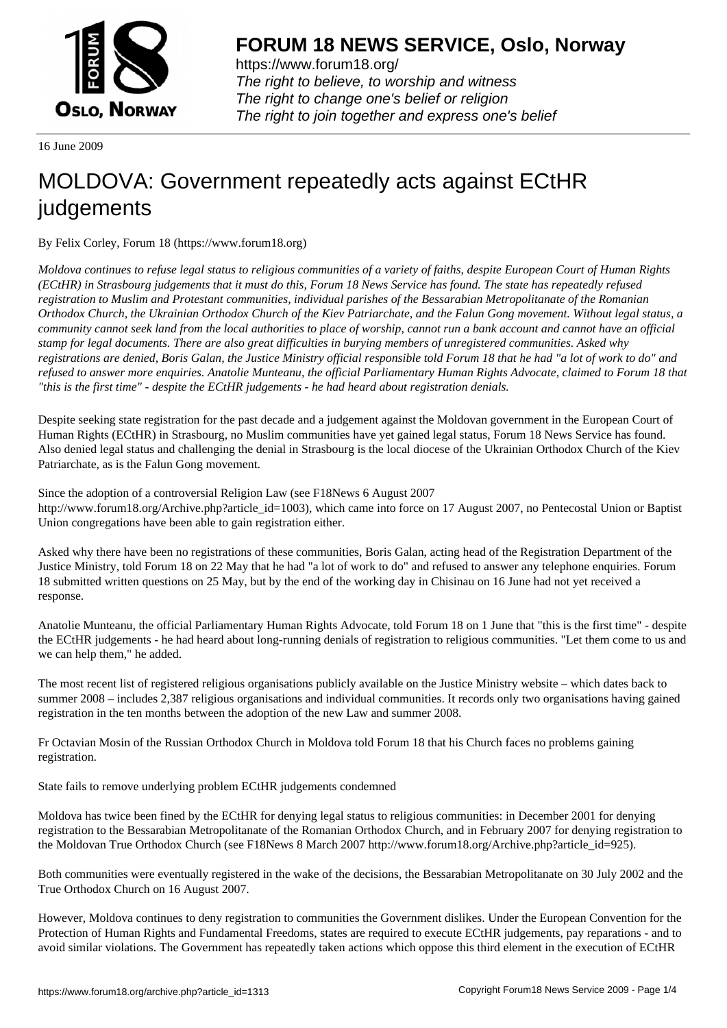

https://www.forum18.org/ The right to believe, to worship and witness The right to change one's belief or religion [The right to join together a](https://www.forum18.org/)nd express one's belief

16 June 2009

## [MOLDOVA: Go](https://www.forum18.org)vernment repeatedly acts against ECtHR judgements

By Felix Corley, Forum 18 (https://www.forum18.org)

*Moldova continues to refuse legal status to religious communities of a variety of faiths, despite European Court of Human Rights (ECtHR) in Strasbourg judgements that it must do this, Forum 18 News Service has found. The state has repeatedly refused registration to Muslim and Protestant communities, individual parishes of the Bessarabian Metropolitanate of the Romanian Orthodox Church, the Ukrainian Orthodox Church of the Kiev Patriarchate, and the Falun Gong movement. Without legal status, a community cannot seek land from the local authorities to place of worship, cannot run a bank account and cannot have an official stamp for legal documents. There are also great difficulties in burying members of unregistered communities. Asked why registrations are denied, Boris Galan, the Justice Ministry official responsible told Forum 18 that he had "a lot of work to do" and refused to answer more enquiries. Anatolie Munteanu, the official Parliamentary Human Rights Advocate, claimed to Forum 18 that "this is the first time" - despite the ECtHR judgements - he had heard about registration denials.*

Despite seeking state registration for the past decade and a judgement against the Moldovan government in the European Court of Human Rights (ECtHR) in Strasbourg, no Muslim communities have yet gained legal status, Forum 18 News Service has found. Also denied legal status and challenging the denial in Strasbourg is the local diocese of the Ukrainian Orthodox Church of the Kiev Patriarchate, as is the Falun Gong movement.

Since the adoption of a controversial Religion Law (see F18News 6 August 2007 http://www.forum18.org/Archive.php?article\_id=1003), which came into force on 17 August 2007, no Pentecostal Union or Baptist Union congregations have been able to gain registration either.

Asked why there have been no registrations of these communities, Boris Galan, acting head of the Registration Department of the Justice Ministry, told Forum 18 on 22 May that he had "a lot of work to do" and refused to answer any telephone enquiries. Forum 18 submitted written questions on 25 May, but by the end of the working day in Chisinau on 16 June had not yet received a response.

Anatolie Munteanu, the official Parliamentary Human Rights Advocate, told Forum 18 on 1 June that "this is the first time" - despite the ECtHR judgements - he had heard about long-running denials of registration to religious communities. "Let them come to us and we can help them," he added.

The most recent list of registered religious organisations publicly available on the Justice Ministry website – which dates back to summer 2008 – includes 2,387 religious organisations and individual communities. It records only two organisations having gained registration in the ten months between the adoption of the new Law and summer 2008.

Fr Octavian Mosin of the Russian Orthodox Church in Moldova told Forum 18 that his Church faces no problems gaining registration.

State fails to remove underlying problem ECtHR judgements condemned

Moldova has twice been fined by the ECtHR for denying legal status to religious communities: in December 2001 for denying registration to the Bessarabian Metropolitanate of the Romanian Orthodox Church, and in February 2007 for denying registration to the Moldovan True Orthodox Church (see F18News 8 March 2007 http://www.forum18.org/Archive.php?article\_id=925).

Both communities were eventually registered in the wake of the decisions, the Bessarabian Metropolitanate on 30 July 2002 and the True Orthodox Church on 16 August 2007.

However, Moldova continues to deny registration to communities the Government dislikes. Under the European Convention for the Protection of Human Rights and Fundamental Freedoms, states are required to execute ECtHR judgements, pay reparations - and to avoid similar violations. The Government has repeatedly taken actions which oppose this third element in the execution of ECtHR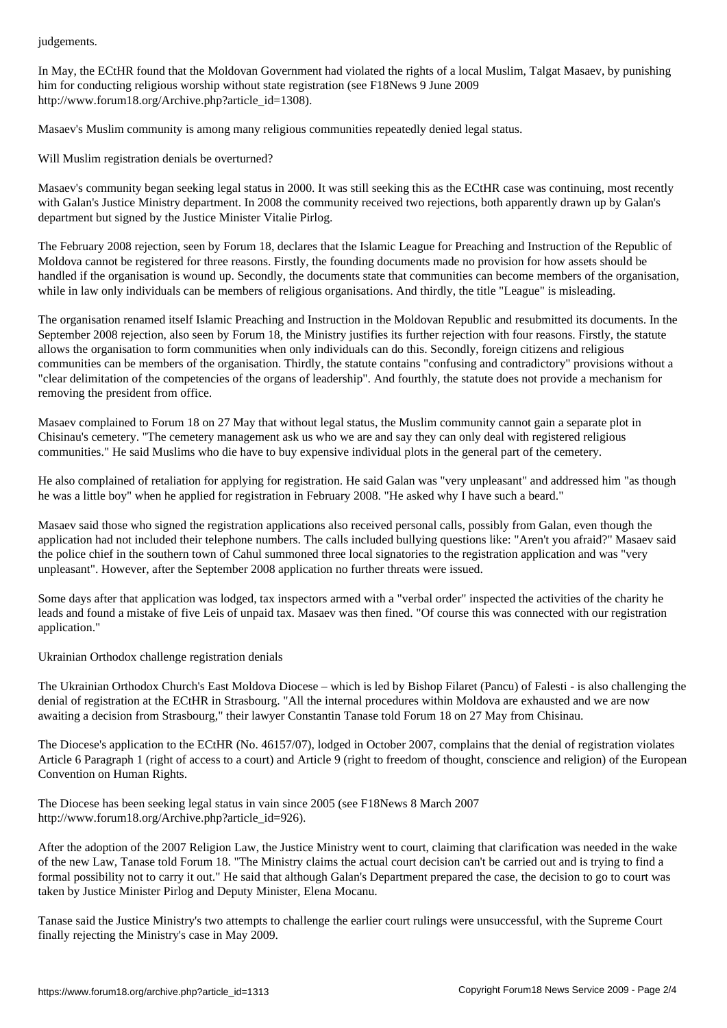In May, the ECtHR found that the Moldovan Government had violated the rights of a local Muslim, Talgat Masaev, by punishing him for conducting religious worship without state registration (see F18News 9 June 2009 http://www.forum18.org/Archive.php?article\_id=1308).

Masaev's Muslim community is among many religious communities repeatedly denied legal status.

Will Muslim registration denials be overturned?

Masaev's community began seeking legal status in 2000. It was still seeking this as the ECtHR case was continuing, most recently with Galan's Justice Ministry department. In 2008 the community received two rejections, both apparently drawn up by Galan's department but signed by the Justice Minister Vitalie Pirlog.

The February 2008 rejection, seen by Forum 18, declares that the Islamic League for Preaching and Instruction of the Republic of Moldova cannot be registered for three reasons. Firstly, the founding documents made no provision for how assets should be handled if the organisation is wound up. Secondly, the documents state that communities can become members of the organisation, while in law only individuals can be members of religious organisations. And thirdly, the title "League" is misleading.

The organisation renamed itself Islamic Preaching and Instruction in the Moldovan Republic and resubmitted its documents. In the September 2008 rejection, also seen by Forum 18, the Ministry justifies its further rejection with four reasons. Firstly, the statute allows the organisation to form communities when only individuals can do this. Secondly, foreign citizens and religious communities can be members of the organisation. Thirdly, the statute contains "confusing and contradictory" provisions without a "clear delimitation of the competencies of the organs of leadership". And fourthly, the statute does not provide a mechanism for removing the president from office.

Masaev complained to Forum 18 on 27 May that without legal status, the Muslim community cannot gain a separate plot in Chisinau's cemetery. "The cemetery management ask us who we are and say they can only deal with registered religious communities." He said Muslims who die have to buy expensive individual plots in the general part of the cemetery.

He also complained of retaliation for applying for registration. He said Galan was "very unpleasant" and addressed him "as though he was a little boy" when he applied for registration in February 2008. "He asked why I have such a beard."

Masaev said those who signed the registration applications also received personal calls, possibly from Galan, even though the application had not included their telephone numbers. The calls included bullying questions like: "Aren't you afraid?" Masaev said the police chief in the southern town of Cahul summoned three local signatories to the registration application and was "very unpleasant". However, after the September 2008 application no further threats were issued.

Some days after that application was lodged, tax inspectors armed with a "verbal order" inspected the activities of the charity he leads and found a mistake of five Leis of unpaid tax. Masaev was then fined. "Of course this was connected with our registration application."

Ukrainian Orthodox challenge registration denials

The Ukrainian Orthodox Church's East Moldova Diocese – which is led by Bishop Filaret (Pancu) of Falesti - is also challenging the denial of registration at the ECtHR in Strasbourg. "All the internal procedures within Moldova are exhausted and we are now awaiting a decision from Strasbourg," their lawyer Constantin Tanase told Forum 18 on 27 May from Chisinau.

The Diocese's application to the ECtHR (No. 46157/07), lodged in October 2007, complains that the denial of registration violates Article 6 Paragraph 1 (right of access to a court) and Article 9 (right to freedom of thought, conscience and religion) of the European Convention on Human Rights.

The Diocese has been seeking legal status in vain since 2005 (see F18News 8 March 2007 http://www.forum18.org/Archive.php?article\_id=926).

After the adoption of the 2007 Religion Law, the Justice Ministry went to court, claiming that clarification was needed in the wake of the new Law, Tanase told Forum 18. "The Ministry claims the actual court decision can't be carried out and is trying to find a formal possibility not to carry it out." He said that although Galan's Department prepared the case, the decision to go to court was taken by Justice Minister Pirlog and Deputy Minister, Elena Mocanu.

Tanase said the Justice Ministry's two attempts to challenge the earlier court rulings were unsuccessful, with the Supreme Court finally rejecting the Ministry's case in May 2009.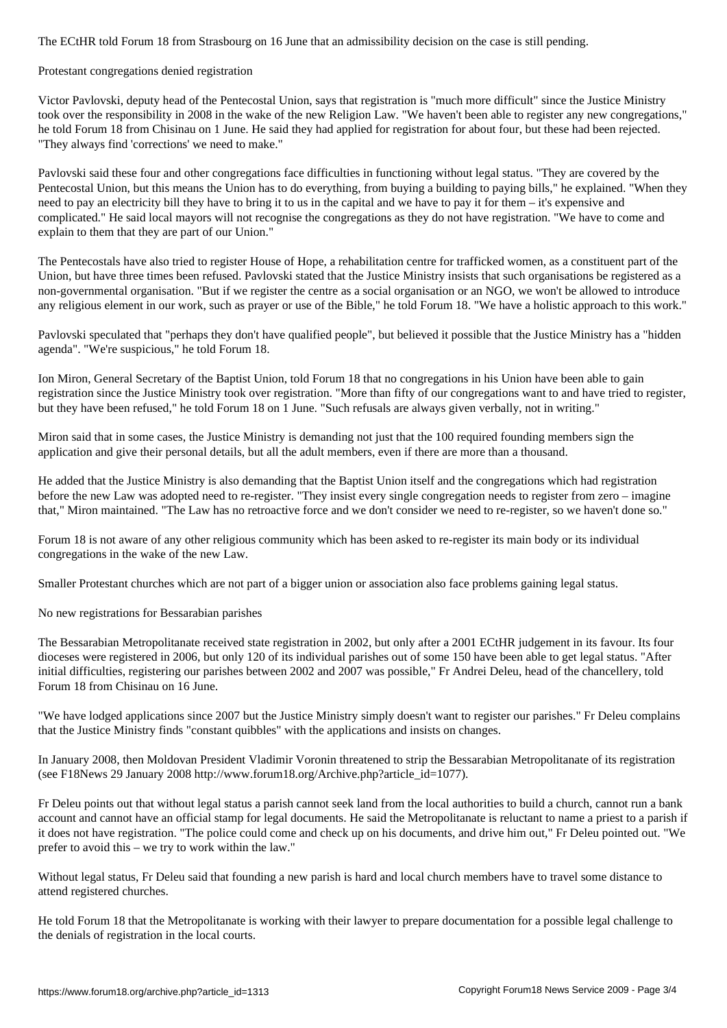## Protestant congregations denied registration

Victor Pavlovski, deputy head of the Pentecostal Union, says that registration is "much more difficult" since the Justice Ministry took over the responsibility in 2008 in the wake of the new Religion Law. "We haven't been able to register any new congregations," he told Forum 18 from Chisinau on 1 June. He said they had applied for registration for about four, but these had been rejected. "They always find 'corrections' we need to make."

Pavlovski said these four and other congregations face difficulties in functioning without legal status. "They are covered by the Pentecostal Union, but this means the Union has to do everything, from buying a building to paying bills," he explained. "When they need to pay an electricity bill they have to bring it to us in the capital and we have to pay it for them – it's expensive and complicated." He said local mayors will not recognise the congregations as they do not have registration. "We have to come and explain to them that they are part of our Union."

The Pentecostals have also tried to register House of Hope, a rehabilitation centre for trafficked women, as a constituent part of the Union, but have three times been refused. Pavlovski stated that the Justice Ministry insists that such organisations be registered as a non-governmental organisation. "But if we register the centre as a social organisation or an NGO, we won't be allowed to introduce any religious element in our work, such as prayer or use of the Bible," he told Forum 18. "We have a holistic approach to this work."

Pavlovski speculated that "perhaps they don't have qualified people", but believed it possible that the Justice Ministry has a "hidden agenda". "We're suspicious," he told Forum 18.

Ion Miron, General Secretary of the Baptist Union, told Forum 18 that no congregations in his Union have been able to gain registration since the Justice Ministry took over registration. "More than fifty of our congregations want to and have tried to register, but they have been refused," he told Forum 18 on 1 June. "Such refusals are always given verbally, not in writing."

Miron said that in some cases, the Justice Ministry is demanding not just that the 100 required founding members sign the application and give their personal details, but all the adult members, even if there are more than a thousand.

He added that the Justice Ministry is also demanding that the Baptist Union itself and the congregations which had registration before the new Law was adopted need to re-register. "They insist every single congregation needs to register from zero – imagine that," Miron maintained. "The Law has no retroactive force and we don't consider we need to re-register, so we haven't done so."

Forum 18 is not aware of any other religious community which has been asked to re-register its main body or its individual congregations in the wake of the new Law.

Smaller Protestant churches which are not part of a bigger union or association also face problems gaining legal status.

No new registrations for Bessarabian parishes

The Bessarabian Metropolitanate received state registration in 2002, but only after a 2001 ECtHR judgement in its favour. Its four dioceses were registered in 2006, but only 120 of its individual parishes out of some 150 have been able to get legal status. "After initial difficulties, registering our parishes between 2002 and 2007 was possible," Fr Andrei Deleu, head of the chancellery, told Forum 18 from Chisinau on 16 June.

"We have lodged applications since 2007 but the Justice Ministry simply doesn't want to register our parishes." Fr Deleu complains that the Justice Ministry finds "constant quibbles" with the applications and insists on changes.

In January 2008, then Moldovan President Vladimir Voronin threatened to strip the Bessarabian Metropolitanate of its registration (see F18News 29 January 2008 http://www.forum18.org/Archive.php?article\_id=1077).

Fr Deleu points out that without legal status a parish cannot seek land from the local authorities to build a church, cannot run a bank account and cannot have an official stamp for legal documents. He said the Metropolitanate is reluctant to name a priest to a parish if it does not have registration. "The police could come and check up on his documents, and drive him out," Fr Deleu pointed out. "We prefer to avoid this – we try to work within the law."

Without legal status, Fr Deleu said that founding a new parish is hard and local church members have to travel some distance to attend registered churches.

He told Forum 18 that the Metropolitanate is working with their lawyer to prepare documentation for a possible legal challenge to the denials of registration in the local courts.